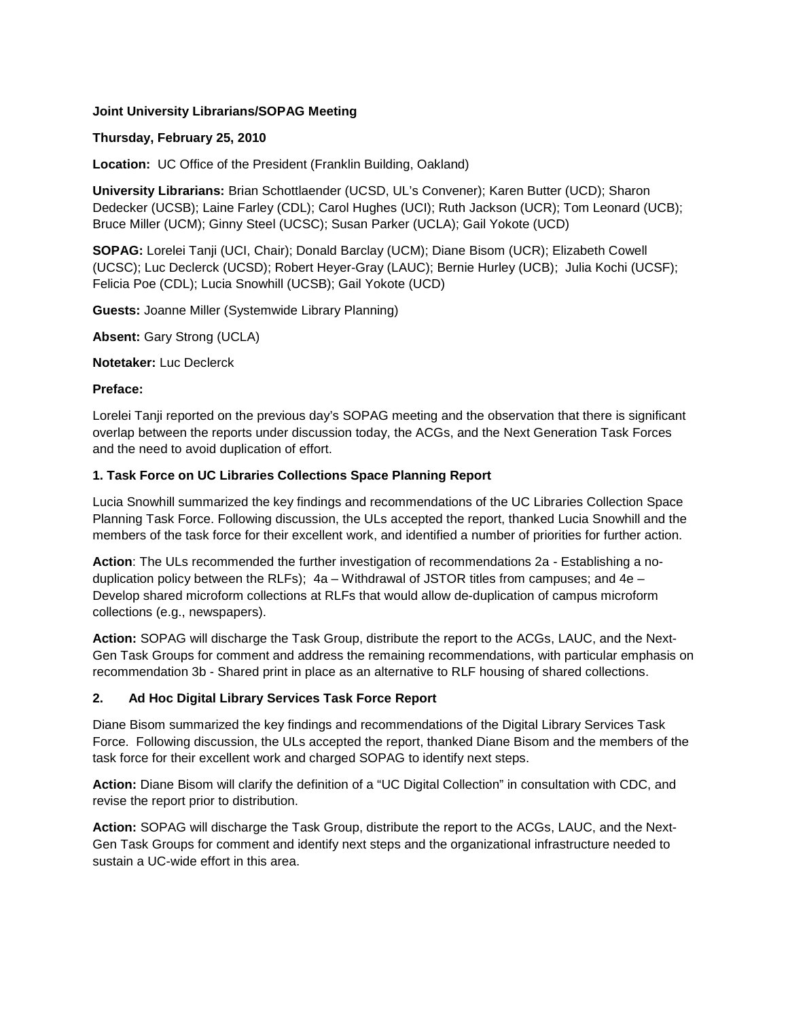### **Joint University Librarians/SOPAG Meeting**

### **Thursday, February 25, 2010**

**Location:** UC Office of the President (Franklin Building, Oakland)

**University Librarians:** Brian Schottlaender (UCSD, UL's Convener); Karen Butter (UCD); Sharon Dedecker (UCSB); Laine Farley (CDL); Carol Hughes (UCI); Ruth Jackson (UCR); Tom Leonard (UCB); Bruce Miller (UCM); Ginny Steel (UCSC); Susan Parker (UCLA); Gail Yokote (UCD)

**SOPAG:** Lorelei Tanji (UCI, Chair); Donald Barclay (UCM); Diane Bisom (UCR); Elizabeth Cowell (UCSC); Luc Declerck (UCSD); Robert Heyer-Gray (LAUC); Bernie Hurley (UCB); Julia Kochi (UCSF); Felicia Poe (CDL); Lucia Snowhill (UCSB); Gail Yokote (UCD)

**Guests:** Joanne Miller (Systemwide Library Planning)

**Absent:** Gary Strong (UCLA)

**Notetaker:** Luc Declerck

#### **Preface:**

Lorelei Tanji reported on the previous day's SOPAG meeting and the observation that there is significant overlap between the reports under discussion today, the ACGs, and the Next Generation Task Forces and the need to avoid duplication of effort.

#### **1. Task Force on UC Libraries Collections Space Planning Report**

Lucia Snowhill summarized the key findings and recommendations of the UC Libraries Collection Space Planning Task Force. Following discussion, the ULs accepted the report, thanked Lucia Snowhill and the members of the task force for their excellent work, and identified a number of priorities for further action.

**Action**: The ULs recommended the further investigation of recommendations 2a - Establishing a noduplication policy between the RLFs);  $4a - W$ ithdrawal of JSTOR titles from campuses; and  $4e -$ Develop shared microform collections at RLFs that would allow de-duplication of campus microform collections (e.g., newspapers).

**Action:** SOPAG will discharge the Task Group, distribute the report to the ACGs, LAUC, and the Next-Gen Task Groups for comment and address the remaining recommendations, with particular emphasis on recommendation 3b - Shared print in place as an alternative to RLF housing of shared collections.

### **2. Ad Hoc Digital Library Services Task Force Report**

Diane Bisom summarized the key findings and recommendations of the Digital Library Services Task Force. Following discussion, the ULs accepted the report, thanked Diane Bisom and the members of the task force for their excellent work and charged SOPAG to identify next steps.

**Action:** Diane Bisom will clarify the definition of a "UC Digital Collection" in consultation with CDC, and revise the report prior to distribution.

**Action:** SOPAG will discharge the Task Group, distribute the report to the ACGs, LAUC, and the Next-Gen Task Groups for comment and identify next steps and the organizational infrastructure needed to sustain a UC-wide effort in this area.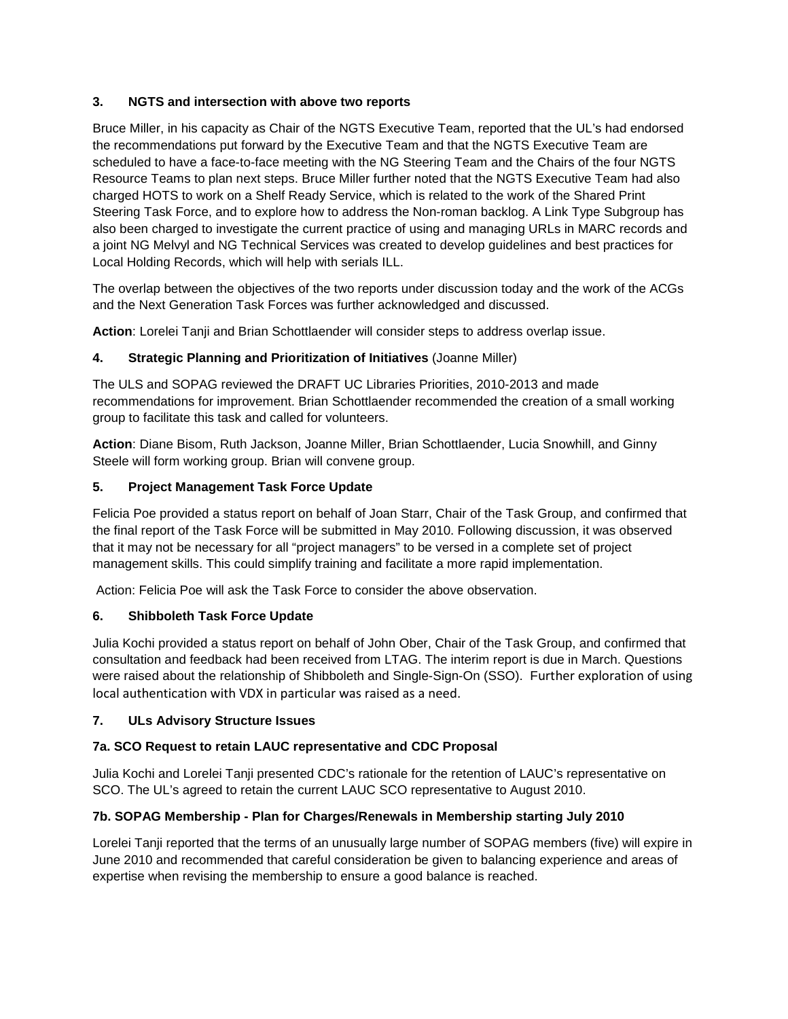## **3. NGTS and intersection with above two reports**

Bruce Miller, in his capacity as Chair of the NGTS Executive Team, reported that the UL's had endorsed the recommendations put forward by the Executive Team and that the NGTS Executive Team are scheduled to have a face-to-face meeting with the NG Steering Team and the Chairs of the four NGTS Resource Teams to plan next steps. Bruce Miller further noted that the NGTS Executive Team had also charged HOTS to work on a Shelf Ready Service, which is related to the work of the Shared Print Steering Task Force, and to explore how to address the Non-roman backlog. A Link Type Subgroup has also been charged to investigate the current practice of using and managing URLs in MARC records and a joint NG Melvyl and NG Technical Services was created to develop guidelines and best practices for Local Holding Records, which will help with serials ILL.

The overlap between the objectives of the two reports under discussion today and the work of the ACGs and the Next Generation Task Forces was further acknowledged and discussed.

**Action**: Lorelei Tanji and Brian Schottlaender will consider steps to address overlap issue.

## **4. Strategic Planning and Prioritization of Initiatives** (Joanne Miller)

The ULS and SOPAG reviewed the DRAFT UC Libraries Priorities, 2010-2013 and made recommendations for improvement. Brian Schottlaender recommended the creation of a small working group to facilitate this task and called for volunteers.

**Action**: Diane Bisom, Ruth Jackson, Joanne Miller, Brian Schottlaender, Lucia Snowhill, and Ginny Steele will form working group. Brian will convene group.

## **5. Project Management Task Force Update**

Felicia Poe provided a status report on behalf of Joan Starr, Chair of the Task Group, and confirmed that the final report of the Task Force will be submitted in May 2010. Following discussion, it was observed that it may not be necessary for all "project managers" to be versed in a complete set of project management skills. This could simplify training and facilitate a more rapid implementation.

Action: Felicia Poe will ask the Task Force to consider the above observation.

# **6. Shibboleth Task Force Update**

Julia Kochi provided a status report on behalf of John Ober, Chair of the Task Group, and confirmed that consultation and feedback had been received from LTAG. The interim report is due in March. Questions were raised about the relationship of Shibboleth and Single-Sign-On (SSO). Further exploration of using local authentication with VDX in particular was raised as a need.

### **7. ULs Advisory Structure Issues**

# **7a. SCO Request to retain LAUC representative and CDC Proposal**

Julia Kochi and Lorelei Tanji presented CDC's rationale for the retention of LAUC's representative on SCO. The UL's agreed to retain the current LAUC SCO representative to August 2010.

# **7b. SOPAG Membership - Plan for Charges/Renewals in Membership starting July 2010**

Lorelei Tanji reported that the terms of an unusually large number of SOPAG members (five) will expire in June 2010 and recommended that careful consideration be given to balancing experience and areas of expertise when revising the membership to ensure a good balance is reached.